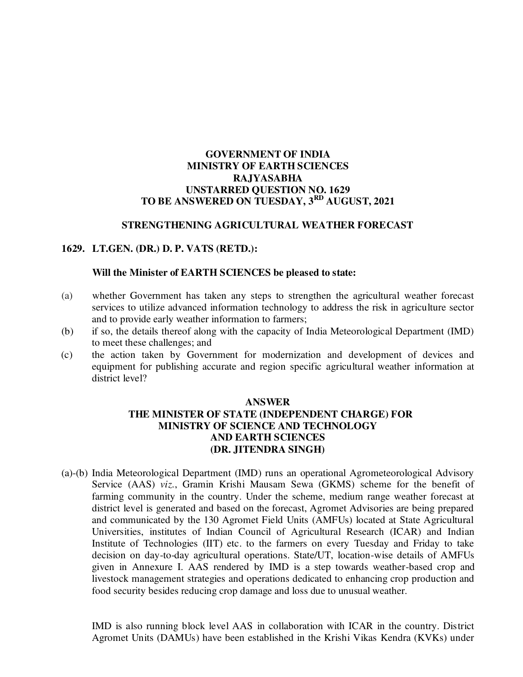## **GOVERNMENT OF INDIA MINISTRY OF EARTH SCIENCES RAJYASABHA UNSTARRED QUESTION NO. 1629 TO BE ANSWERED ON TUESDAY, 3RD AUGUST, 2021**

## **STRENGTHENING AGRICULTURAL WEATHER FORECAST**

### **1629. LT.GEN. (DR.) D. P. VATS (RETD.):**

#### **Will the Minister of EARTH SCIENCES be pleased to state:**

- (a)whether Government has taken any steps to strengthen the agricultural weather forecast services to utilize advanced information technology to address the risk in agriculture sector and to provide early weather information to farmers;
- (b) if so, the details thereof along with the capacity of India Meteorological Department (IMD) to meet these challenges; and
- (c) the action taken by Government for modernization and development of devices and equipment for publishing accurate and region specific agricultural weather information at district level?

## **ANSWER THE MINISTER OF STATE (INDEPENDENT CHARGE) FOR MINISTRY OF SCIENCE AND TECHNOLOGY AND EARTH SCIENCES (DR. JITENDRA SINGH)**

(a)-(b) India Meteorological Department (IMD) runs an operational Agrometeorological Advisory Service (AAS) *viz.*, Gramin Krishi Mausam Sewa (GKMS) scheme for the benefit of farming community in the country. Under the scheme, medium range weather forecast at district level is generated and based on the forecast, Agromet Advisories are being prepared and communicated by the 130 Agromet Field Units (AMFUs) located at State Agricultural Universities, institutes of Indian Council of Agricultural Research (ICAR) and Indian Institute of Technologies (IIT) etc. to the farmers on every Tuesday and Friday to take decision on day-to-day agricultural operations. State/UT, location-wise details of AMFUs given in Annexure I. AAS rendered by IMD is a step towards weather-based crop and livestock management strategies and operations dedicated to enhancing crop production and food security besides reducing crop damage and loss due to unusual weather.

IMD is also running block level AAS in collaboration with ICAR in the country. District Agromet Units (DAMUs) have been established in the Krishi Vikas Kendra (KVKs) under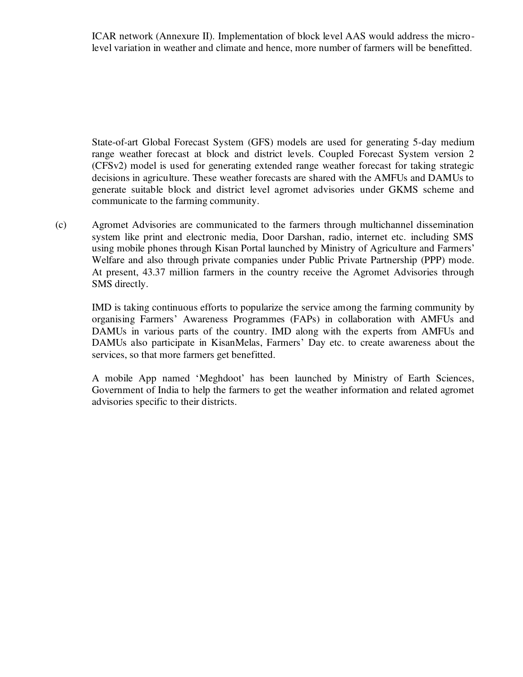ICAR network (Annexure II). Implementation of block level AAS would address the microlevel variation in weather and climate and hence, more number of farmers will be benefitted.

State-of-art Global Forecast System (GFS) models are used for generating 5-day medium range weather forecast at block and district levels. Coupled Forecast System version 2 (CFSv2) model is used for generating extended range weather forecast for taking strategic decisions in agriculture. These weather forecasts are shared with the AMFUs and DAMUs to generate suitable block and district level agromet advisories under GKMS scheme and communicate to the farming community.

(c) Agromet Advisories are communicated to the farmers through multichannel dissemination system like print and electronic media, Door Darshan, radio, internet etc. including SMS using mobile phones through Kisan Portal launched by Ministry of Agriculture and Farmers' Welfare and also through private companies under Public Private Partnership (PPP) mode. At present, 43.37 million farmers in the country receive the Agromet Advisories through SMS directly.

IMD is taking continuous efforts to popularize the service among the farming community by organising Farmers' Awareness Programmes (FAPs) in collaboration with AMFUs and DAMUs in various parts of the country. IMD along with the experts from AMFUs and DAMUs also participate in KisanMelas, Farmers' Day etc. to create awareness about the services, so that more farmers get benefitted.

A mobile App named 'Meghdoot' has been launched by Ministry of Earth Sciences, Government of India to help the farmers to get the weather information and related agromet advisories specific to their districts.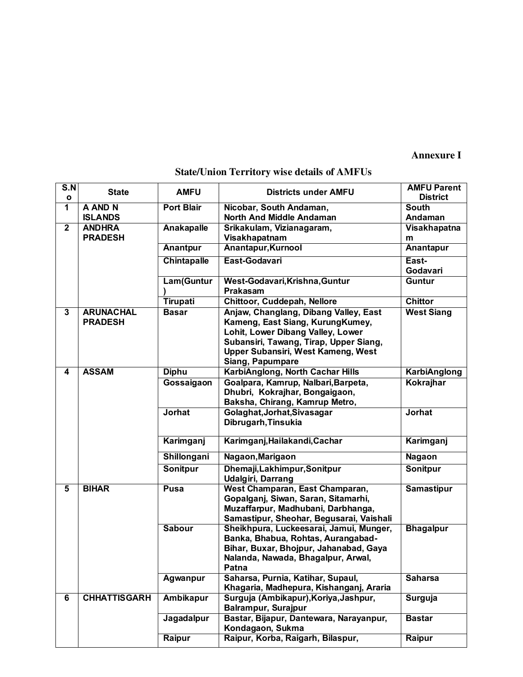## **Annexure I**

# **State/Union Territory wise details of AMFUs**

| S.N               | <b>State</b>                       | <b>AMFU</b>        | <b>Districts under AMFU</b>                                                                                                                                                                                        | <b>AMFU Parent</b>              |
|-------------------|------------------------------------|--------------------|--------------------------------------------------------------------------------------------------------------------------------------------------------------------------------------------------------------------|---------------------------------|
| $\mathbf{o}$<br>1 | A AND N                            | <b>Port Blair</b>  |                                                                                                                                                                                                                    | <b>District</b><br><b>South</b> |
|                   | <b>ISLANDS</b>                     |                    | Nicobar, South Andaman,<br><b>North And Middle Andaman</b>                                                                                                                                                         | Andaman                         |
| $\mathbf{2}$      | <b>ANDHRA</b>                      | Anakapalle         | Srikakulam, Vizianagaram,                                                                                                                                                                                          | Visakhapatna                    |
|                   | <b>PRADESH</b>                     |                    | Visakhapatnam                                                                                                                                                                                                      | m                               |
|                   |                                    | Anantpur           | Anantapur, Kurnool                                                                                                                                                                                                 | Anantapur                       |
|                   |                                    | <b>Chintapalle</b> | East-Godavari                                                                                                                                                                                                      | East-                           |
|                   |                                    |                    |                                                                                                                                                                                                                    | Godavari                        |
|                   |                                    | Lam(Guntur         | West-Godavari, Krishna, Guntur<br>Prakasam                                                                                                                                                                         | Guntur                          |
|                   |                                    | <b>Tirupati</b>    | Chittoor, Cuddepah, Nellore                                                                                                                                                                                        | <b>Chittor</b>                  |
| $\overline{3}$    | <b>ARUNACHAL</b><br><b>PRADESH</b> | <b>Basar</b>       | Anjaw, Changlang, Dibang Valley, East<br>Kameng, East Siang, KurungKumey,<br>Lohit, Lower Dibang Valley, Lower<br>Subansiri, Tawang, Tirap, Upper Siang,<br>Upper Subansiri, West Kameng, West<br>Siang, Papumpare | <b>West Siang</b>               |
| 4                 | <b>ASSAM</b>                       | <b>Diphu</b>       | KarbiAnglong, North Cachar Hills                                                                                                                                                                                   | <b>KarbiAnglong</b>             |
|                   |                                    | Gossaigaon         | Goalpara, Kamrup, Nalbari, Barpeta,<br>Dhubri, Kokrajhar, Bongaigaon,<br>Baksha, Chirang, Kamrup Metro,                                                                                                            | <b>Kokrajhar</b>                |
|                   |                                    | <b>Jorhat</b>      | Golaghat, Jorhat, Sivasagar<br>Dibrugarh, Tinsukia                                                                                                                                                                 | <b>Jorhat</b>                   |
|                   |                                    | Karimganj          | Karimganj, Hailakandi, Cachar                                                                                                                                                                                      | Karimganj                       |
|                   |                                    | Shillongani        | Nagaon, Marigaon                                                                                                                                                                                                   | <b>Nagaon</b>                   |
|                   |                                    | <b>Sonitpur</b>    | Dhemaji, Lakhimpur, Sonitpur<br><b>Udalgiri, Darrang</b>                                                                                                                                                           | <b>Sonitpur</b>                 |
| $\overline{5}$    | <b>BIHAR</b>                       | <b>Pusa</b>        | West Champaran, East Champaran,<br>Gopalganj, Siwan, Saran, Sitamarhi,<br>Muzaffarpur, Madhubani, Darbhanga,<br>Samastipur, Sheohar, Begusarai, Vaishali                                                           | <b>Samastipur</b>               |
|                   |                                    | <b>Sabour</b>      | Sheikhpura, Luckeesarai, Jamui, Munger,<br>Banka, Bhabua, Rohtas, Aurangabad-<br>Bihar, Buxar, Bhojpur, Jahanabad, Gaya<br>Nalanda, Nawada, Bhagalpur, Arwal,<br>Patna                                             | <b>Bhagalpur</b>                |
|                   |                                    | Agwanpur           | Saharsa, Purnia, Katihar, Supaul,<br>Khagaria, Madhepura, Kishanganj, Araria                                                                                                                                       | <b>Saharsa</b>                  |
| 6                 | <b>CHHATTISGARH</b>                | <b>Ambikapur</b>   | Surguja (Ambikapur), Koriya, Jashpur,<br>Surguja<br>Balrampur, Surajpur                                                                                                                                            |                                 |
|                   |                                    | Jagadalpur         | Bastar, Bijapur, Dantewara, Narayanpur,<br>Kondagaon, Sukma                                                                                                                                                        | <b>Bastar</b>                   |
|                   |                                    | Raipur             | Raipur, Korba, Raigarh, Bilaspur,                                                                                                                                                                                  | Raipur                          |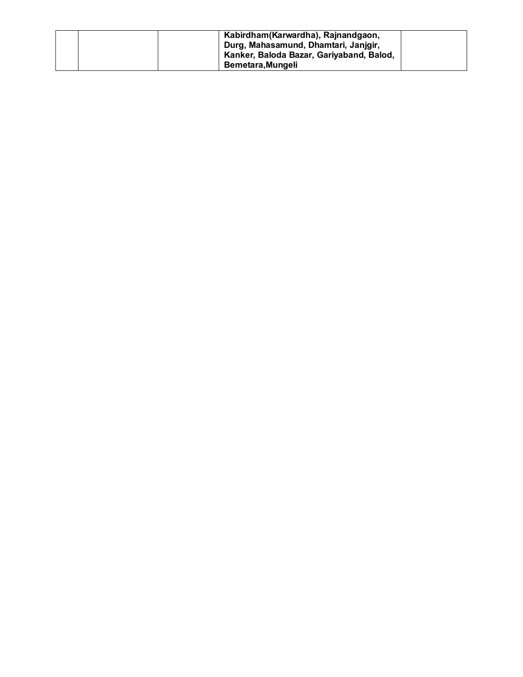|  | Kabirdham (Karwardha), Rajnandgaon,      |  |
|--|------------------------------------------|--|
|  | Durg, Mahasamund, Dhamtari, Janjgir,     |  |
|  | Kanker, Baloda Bazar, Gariyaband, Balod, |  |
|  | Bemetara.Mungeli                         |  |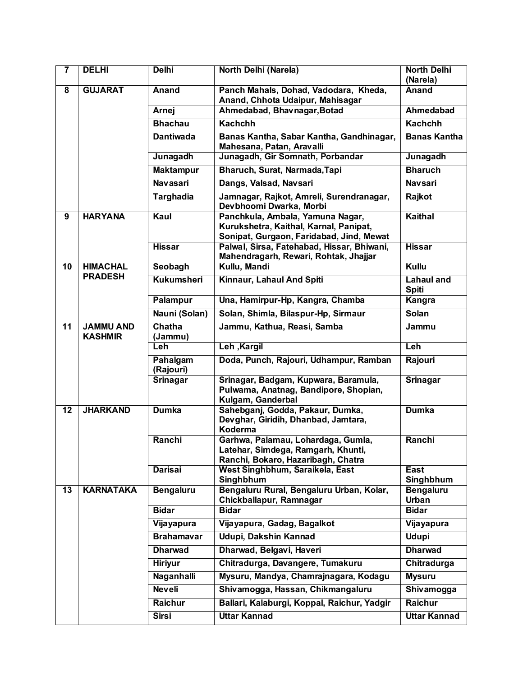| $\overline{\mathbf{7}}$ | <b>DELHI</b>                       | <b>Delhi</b>          | North Delhi (Narela)                                                                                           | <b>North Delhi</b><br>(Narela) |
|-------------------------|------------------------------------|-----------------------|----------------------------------------------------------------------------------------------------------------|--------------------------------|
| $\overline{\mathbf{8}}$ | <b>GUJARAT</b>                     | <b>Anand</b>          | Panch Mahals, Dohad, Vadodara, Kheda,<br>Anand, Chhota Udaipur, Mahisagar                                      | Anand                          |
|                         |                                    | <b>Arnej</b>          | Ahmedabad, Bhavnagar, Botad                                                                                    | <b>Ahmedabad</b>               |
|                         |                                    | <b>Bhachau</b>        | <b>Kachchh</b>                                                                                                 | <b>Kachchh</b>                 |
|                         |                                    | <b>Dantiwada</b>      | Banas Kantha, Sabar Kantha, Gandhinagar,<br>Mahesana, Patan, Aravalli                                          | <b>Banas Kantha</b>            |
|                         |                                    | Junagadh              | Junagadh, Gir Somnath, Porbandar                                                                               | Junagadh                       |
|                         |                                    | <b>Maktampur</b>      | Bharuch, Surat, Narmada, Tapi                                                                                  | <b>Bharuch</b>                 |
|                         |                                    | <b>Navasari</b>       | Dangs, Valsad, Navsari                                                                                         | <b>Navsari</b>                 |
|                         |                                    | <b>Targhadia</b>      | Jamnagar, Rajkot, Amreli, Surendranagar,<br>Devbhoomi Dwarka, Morbi                                            | Rajkot                         |
| $\overline{9}$          | <b>HARYANA</b>                     | Kaul                  | Panchkula, Ambala, Yamuna Nagar,<br>Kurukshetra, Kaithal, Karnal, Panipat,                                     |                                |
|                         |                                    | <b>Hissar</b>         | Sonipat, Gurgaon, Faridabad, Jind, Mewat<br>Palwal, Sirsa, Fatehabad, Hissar, Bhiwani,                         | <b>Hissar</b>                  |
|                         |                                    |                       | Mahendragarh, Rewari, Rohtak, Jhajjar                                                                          |                                |
| $\overline{10}$         | <b>HIMACHAL</b>                    | Seobagh               | Kullu, Mandi                                                                                                   | Kullu                          |
|                         | <b>PRADESH</b>                     | <b>Kukumsheri</b>     | Kinnaur, Lahaul And Spiti                                                                                      | Lahaul and<br><b>Spiti</b>     |
|                         |                                    | <b>Palampur</b>       | Una, Hamirpur-Hp, Kangra, Chamba                                                                               | Kangra                         |
|                         |                                    | Nauni (Solan)         | Solan, Shimla, Bilaspur-Hp, Sirmaur                                                                            | <b>Solan</b>                   |
| $\overline{11}$         | <b>JAMMU AND</b><br><b>KASHMIR</b> | Chatha<br>(Jammu)     | Jammu, Kathua, Reasi, Samba                                                                                    | Jammu                          |
|                         |                                    | Leh                   | Leh , Kargil                                                                                                   | Leh                            |
|                         |                                    | Pahalgam<br>(Rajouri) | Doda, Punch, Rajouri, Udhampur, Ramban                                                                         | Rajouri                        |
|                         |                                    | <b>Srinagar</b>       | Srinagar, Badgam, Kupwara, Baramula,<br>Pulwama, Anatnag, Bandipore, Shopian,<br>Kulgam, Ganderbal             | <b>Srinagar</b>                |
| $\overline{12}$         | <b>JHARKAND</b>                    | <b>Dumka</b>          | Sahebganj, Godda, Pakaur, Dumka,<br>Devghar, Giridih, Dhanbad, Jamtara,<br>Koderma                             | <b>Dumka</b>                   |
|                         |                                    | Ranchi                | Garhwa, Palamau, Lohardaga, Gumla,<br>Latehar, Simdega, Ramgarh, Khunti,<br>Ranchi, Bokaro, Hazaribagh, Chatra | Ranchi                         |
|                         |                                    | <b>Darisai</b>        | West Singhbhum, Saraikela, East<br>Singhbhum                                                                   | <b>East</b><br>Singhbhum       |
| $\overline{13}$         | <b>KARNATAKA</b>                   | <b>Bengaluru</b>      | Bengaluru Rural, Bengaluru Urban, Kolar,<br>Chickballapur, Ramnagar                                            | <b>Bengaluru</b><br>Urban      |
|                         |                                    | <b>Bidar</b>          | <b>Bidar</b>                                                                                                   | <b>Bidar</b>                   |
|                         |                                    | Vijayapura            | Vijayapura, Gadag, Bagalkot                                                                                    | Vijayapura                     |
|                         |                                    | <b>Brahamavar</b>     | Udupi, Dakshin Kannad                                                                                          | <b>Udupi</b>                   |
|                         |                                    | <b>Dharwad</b>        | Dharwad, Belgavi, Haveri                                                                                       | <b>Dharwad</b>                 |
|                         |                                    | <b>Hiriyur</b>        | Chitradurga, Davangere, Tumakuru                                                                               | Chitradurga                    |
|                         |                                    | Naganhalli            | Mysuru, Mandya, Chamrajnagara, Kodagu                                                                          | <b>Mysuru</b>                  |
|                         |                                    | <b>Neveli</b>         | Shivamogga, Hassan, Chikmangaluru                                                                              | Shivamogga                     |
|                         |                                    | <b>Raichur</b>        | Ballari, Kalaburgi, Koppal, Raichur, Yadgir                                                                    | <b>Raichur</b>                 |
|                         |                                    | <b>Sirsi</b>          | <b>Uttar Kannad</b>                                                                                            | <b>Uttar Kannad</b>            |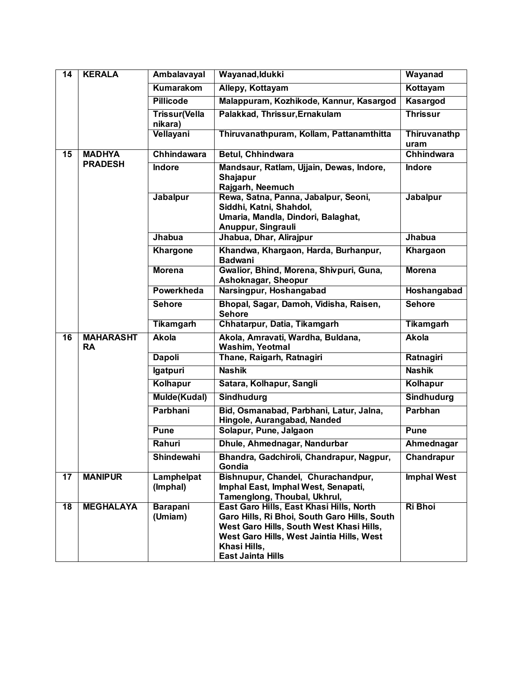| $\overline{14}$ | <b>KERALA</b>                 | <b>Ambalavayal</b>              | Wayanad, Idukki                                                                                                                                                                                                               | Wayanad              |
|-----------------|-------------------------------|---------------------------------|-------------------------------------------------------------------------------------------------------------------------------------------------------------------------------------------------------------------------------|----------------------|
| Kumarakom       |                               |                                 | Allepy, Kottayam                                                                                                                                                                                                              | Kottayam             |
|                 |                               | <b>Pillicode</b>                | Malappuram, Kozhikode, Kannur, Kasargod                                                                                                                                                                                       | Kasargod             |
|                 |                               | <b>Trissur(Vella</b><br>nikara) | Palakkad, Thrissur, Ernakulam                                                                                                                                                                                                 | <b>Thrissur</b>      |
|                 |                               | Vellayani                       | Thiruvanathpuram, Kollam, Pattanamthitta                                                                                                                                                                                      | Thiruvanathp<br>uram |
| $\overline{15}$ | <b>MADHYA</b>                 | <b>Chhindawara</b>              | <b>Betul, Chhindwara</b>                                                                                                                                                                                                      | <b>Chhindwara</b>    |
|                 | <b>PRADESH</b>                | <b>Indore</b>                   | Mandsaur, Ratlam, Ujjain, Dewas, Indore,<br>Shajapur<br>Rajgarh, Neemuch                                                                                                                                                      | <b>Indore</b>        |
|                 |                               | Jabalpur                        | Rewa, Satna, Panna, Jabalpur, Seoni,<br>Siddhi, Katni, Shahdol,<br>Umaria, Mandla, Dindori, Balaghat,<br>Anuppur, Singrauli                                                                                                   | Jabalpur             |
|                 |                               | Jhabua                          | Jhabua, Dhar, Alirajpur                                                                                                                                                                                                       | <b>Jhabua</b>        |
|                 |                               | <b>Khargone</b>                 | Khandwa, Khargaon, Harda, Burhanpur,<br><b>Badwani</b>                                                                                                                                                                        | Khargaon             |
|                 |                               | <b>Morena</b>                   | Gwalior, Bhind, Morena, Shivpuri, Guna,<br>Ashoknagar, Sheopur                                                                                                                                                                | <b>Morena</b>        |
|                 |                               | Powerkheda                      | Narsingpur, Hoshangabad                                                                                                                                                                                                       | Hoshangabad          |
|                 |                               | <b>Sehore</b>                   | Bhopal, Sagar, Damoh, Vidisha, Raisen,<br><b>Sehore</b>                                                                                                                                                                       | <b>Sehore</b>        |
|                 |                               | <b>Tikamgarh</b>                | Chhatarpur, Datia, Tikamgarh                                                                                                                                                                                                  | <b>Tikamgarh</b>     |
| $\overline{16}$ | <b>MAHARASHT</b><br><b>RA</b> | <b>Akola</b>                    | Akola, Amravati, Wardha, Buldana,<br><b>Washim, Yeotmal</b>                                                                                                                                                                   | <b>Akola</b>         |
|                 |                               | <b>Dapoli</b>                   | Thane, Raigarh, Ratnagiri                                                                                                                                                                                                     | Ratnagiri            |
|                 |                               | Igatpuri                        | <b>Nashik</b>                                                                                                                                                                                                                 | <b>Nashik</b>        |
|                 |                               | Kolhapur                        | Satara, Kolhapur, Sangli                                                                                                                                                                                                      | Kolhapur             |
|                 |                               | <b>Mulde(Kudal)</b>             | <b>Sindhudurg</b>                                                                                                                                                                                                             | <b>Sindhudurg</b>    |
|                 |                               | Parbhani                        | Bid, Osmanabad, Parbhani, Latur, Jalna,<br>Hingole, Aurangabad, Nanded                                                                                                                                                        | <b>Parbhan</b>       |
|                 |                               | <b>Pune</b>                     | Solapur, Pune, Jalgaon                                                                                                                                                                                                        | <b>Pune</b>          |
|                 |                               | Rahuri                          | Dhule, Ahmednagar, Nandurbar                                                                                                                                                                                                  | Ahmednagar           |
|                 |                               | Shindewahi                      | Bhandra, Gadchiroli, Chandrapur, Nagpur,<br>Gondia                                                                                                                                                                            | Chandrapur           |
| 17              | <b>MANIPUR</b>                | Lamphelpat<br>(Imphal)          | Bishnupur, Chandel, Churachandpur,<br>Imphal East, Imphal West, Senapati,<br>Tamenglong, Thoubal, Ukhrul,                                                                                                                     | <b>Imphal West</b>   |
| $\overline{18}$ | <b>MEGHALAYA</b>              | Barapani<br>(Umiam)             | East Garo Hills, East Khasi Hills, North<br>Garo Hills, Ri Bhoi, South Garo Hills, South<br>West Garo Hills, South West Khasi Hills,<br>West Garo Hills, West Jaintia Hills, West<br>Khasi Hills,<br><b>East Jainta Hills</b> | <b>Ri Bhoi</b>       |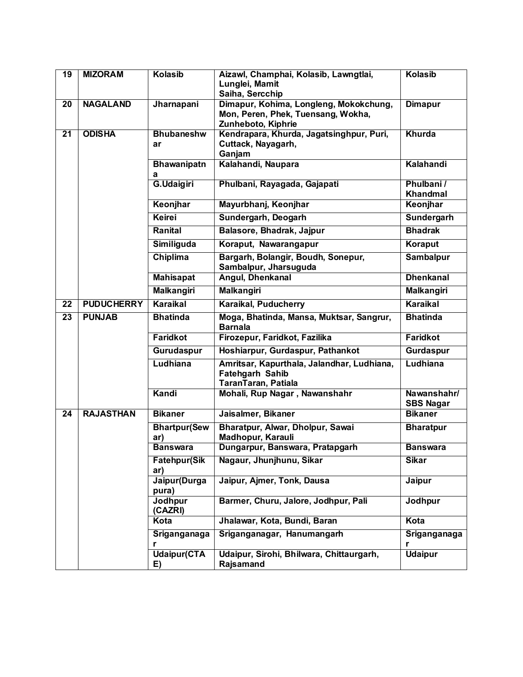| $\overline{19}$ | <b>MIZORAM</b>    | <b>Kolasib</b>                         | Aizawl, Champhai, Kolasib, Lawngtlai,<br>Lunglei, Mamit<br>Saiha, Sercchip                         | <b>Kolasib</b>                  |
|-----------------|-------------------|----------------------------------------|----------------------------------------------------------------------------------------------------|---------------------------------|
| $\overline{20}$ | <b>NAGALAND</b>   | Jharnapani                             | Dimapur, Kohima, Longleng, Mokokchung,<br>Mon, Peren, Phek, Tuensang, Wokha,<br>Zunheboto, Kiphrie | <b>Dimapur</b>                  |
| $\overline{21}$ | <b>ODISHA</b>     | <b>Bhubaneshw</b><br>ar                | Kendrapara, Khurda, Jagatsinghpur, Puri,<br>Cuttack, Nayagarh,<br>Ganjam                           | Khurda                          |
|                 |                   | <b>Bhawanipatn</b><br>а                | Kalahandi, Naupara                                                                                 | Kalahandi                       |
|                 |                   | G.Udaigiri                             | Phulbani, Rayagada, Gajapati                                                                       | Phulbani /<br><b>Khandmal</b>   |
|                 |                   | Keonjhar                               | Mayurbhanj, Keonjhar                                                                               | Keonjhar                        |
|                 |                   | Keirei                                 | Sundergarh, Deogarh                                                                                | Sundergarh                      |
|                 |                   | Ranital                                | Balasore, Bhadrak, Jajpur                                                                          | <b>Bhadrak</b>                  |
|                 |                   | Similiguda                             | Koraput, Nawarangapur                                                                              | Koraput                         |
|                 |                   | Chiplima                               | Bargarh, Bolangir, Boudh, Sonepur,<br>Sambalpur, Jharsuguda                                        | <b>Sambalpur</b>                |
|                 |                   | <b>Mahisapat</b>                       | Angul, Dhenkanal                                                                                   | <b>Dhenkanal</b>                |
|                 |                   | <b>Malkangiri</b><br><b>Malkangiri</b> |                                                                                                    | <b>Malkangiri</b>               |
| 22              | <b>PUDUCHERRY</b> | Karaikal                               | Karaikal, Puducherry                                                                               | Karaikal                        |
| $\overline{23}$ | <b>PUNJAB</b>     | <b>Bhatinda</b>                        | Moga, Bhatinda, Mansa, Muktsar, Sangrur,<br><b>Barnala</b>                                         | <b>Bhatinda</b>                 |
|                 |                   | <b>Faridkot</b>                        | Firozepur, Faridkot, Fazilika                                                                      | <b>Faridkot</b>                 |
|                 |                   | Gurudaspur                             | Hoshiarpur, Gurdaspur, Pathankot                                                                   | Gurdaspur                       |
|                 |                   | Ludhiana                               | Amritsar, Kapurthala, Jalandhar, Ludhiana,<br><b>Fatehgarh Sahib</b><br>TaranTaran, Patiala        | <b>Ludhiana</b>                 |
|                 |                   | Kandi                                  | Mohali, Rup Nagar, Nawanshahr                                                                      | Nawanshahr/<br><b>SBS Nagar</b> |
| $\overline{24}$ | <b>RAJASTHAN</b>  | <b>Bikaner</b>                         | Jaisalmer, Bikaner                                                                                 | <b>Bikaner</b>                  |
|                 |                   | <b>Bhartpur(Sew</b><br>ar)             | Bharatpur, Alwar, Dholpur, Sawai<br>Madhopur, Karauli                                              | <b>Bharatpur</b>                |
|                 |                   | <b>Banswara</b>                        | Dungarpur, Banswara, Pratapgarh                                                                    | <b>Banswara</b>                 |
|                 |                   | Fatehpur(Sik<br>ar)                    | Nagaur, Jhunjhunu, Sikar                                                                           | <b>Sikar</b>                    |
|                 |                   | Jaipur(Durga<br>pura)                  | Jaipur, Ajmer, Tonk, Dausa                                                                         | <b>Jaipur</b>                   |
|                 |                   | Jodhpur<br>(CAZRI)                     | Barmer, Churu, Jalore, Jodhpur, Pali                                                               | Jodhpur                         |
|                 |                   | Kota                                   | Jhalawar, Kota, Bundi, Baran                                                                       | Kota                            |
|                 |                   | Sriganganaga<br>r                      | Sriganganagar, Hanumangarh                                                                         | Sriganganaga<br>r               |
|                 |                   | <b>Udaipur</b> (CTA<br>E)              | Udaipur, Sirohi, Bhilwara, Chittaurgarh,<br>Rajsamand                                              | <b>Udaipur</b>                  |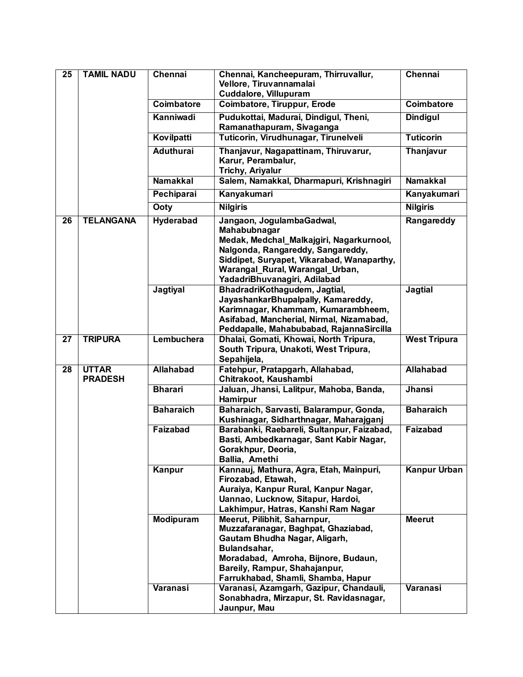| $\overline{25}$ | <b>TAMIL NADU</b>              | Chennai               | Chennai, Kancheepuram, Thirruvallur,<br>Vellore, Tiruvannamalai<br>Cuddalore, Villupuram                                                                                                                                                                                      | Chennai                          |
|-----------------|--------------------------------|-----------------------|-------------------------------------------------------------------------------------------------------------------------------------------------------------------------------------------------------------------------------------------------------------------------------|----------------------------------|
|                 |                                | <b>Coimbatore</b>     | <b>Coimbatore, Tiruppur, Erode</b>                                                                                                                                                                                                                                            | <b>Coimbatore</b>                |
|                 |                                | Kanniwadi             | Pudukottai, Madurai, Dindigul, Theni,<br>Ramanathapuram, Sivaganga                                                                                                                                                                                                            | <b>Dindigul</b>                  |
|                 |                                | Kovilpatti            | Tuticorin, Virudhunagar, Tirunelveli                                                                                                                                                                                                                                          | <b>Tuticorin</b>                 |
|                 |                                | <b>Aduthurai</b>      | Thanjavur, Nagapattinam, Thiruvarur,<br>Karur, Perambalur,<br><b>Trichy, Ariyalur</b>                                                                                                                                                                                         | <b>Thanjavur</b>                 |
|                 |                                | <b>Namakkal</b>       | Salem, Namakkal, Dharmapuri, Krishnagiri                                                                                                                                                                                                                                      | <b>Namakkal</b>                  |
|                 |                                | Pechiparai            | Kanyakumari                                                                                                                                                                                                                                                                   | Kanyakumari                      |
|                 |                                | Ooty                  | <b>Nilgiris</b>                                                                                                                                                                                                                                                               | <b>Nilgiris</b>                  |
| 26              | <b>TELANGANA</b>               | Hyderabad             | Jangaon, JogulambaGadwal,<br>Mahabubnagar<br>Medak, Medchal_Malkajgiri, Nagarkurnool,<br>Nalgonda, Rangareddy, Sangareddy,<br>Siddipet, Suryapet, Vikarabad, Wanaparthy,<br>Warangal_Rural, Warangal_Urban,<br>YadadriBhuvanagiri, Adilabad                                   | Rangareddy                       |
|                 |                                | Jagtiyal              | BhadradriKothaqudem, Jaqtial,<br>JayashankarBhupalpally, Kamareddy,<br>Karimnagar, Khammam, Kumarambheem,<br>Asifabad, Mancherial, Nirmal, Nizamabad,<br>Peddapalle, Mahabubabad, RajannaSircilla                                                                             | <b>Jagtial</b>                   |
| 27              | <b>TRIPURA</b>                 | Lembuchera            | Dhalai, Gomati, Khowai, North Tripura,<br>South Tripura, Unakoti, West Tripura,<br>Sepahijela,                                                                                                                                                                                | <b>West Tripura</b>              |
| $\overline{28}$ | <b>UTTAR</b><br><b>PRADESH</b> | <b>Allahabad</b>      | Fatehpur, Pratapgarh, Allahabad,<br>Chitrakoot, Kaushambi                                                                                                                                                                                                                     | <b>Allahabad</b>                 |
|                 |                                | <b>Bharari</b>        | Jaluan, Jhansi, Lalitpur, Mahoba, Banda,<br>Hamirpur                                                                                                                                                                                                                          | <b>Jhansi</b>                    |
|                 |                                | <b>Baharaich</b>      | Baharaich, Sarvasti, Balarampur, Gonda,<br>Kushinagar, Sidharthnagar, Maharajganj                                                                                                                                                                                             | <b>Baharaich</b>                 |
|                 |                                | Faizabad              | Barabanki, Raebareli, Sultanpur, Faizabad,<br>Basti, Ambedkarnagar, Sant Kabir Nagar,<br>Gorakhpur, Deoria,<br>Ballia, Amethi                                                                                                                                                 | Faizabad                         |
|                 |                                | Kanpur                | Kannauj, Mathura, Agra, Etah, Mainpuri,<br>Firozabad, Etawah,<br>Auraiya, Kanpur Rural, Kanpur Nagar,<br>Uannao, Lucknow, Sitapur, Hardoi,<br>Lakhimpur, Hatras, Kanshi Ram Nagar                                                                                             | <b>Kanpur Urban</b>              |
|                 |                                | Modipuram<br>Varanasi | Meerut, Pilibhit, Saharnpur,<br>Muzzafaranagar, Baghpat, Ghaziabad,<br>Gautam Bhudha Nagar, Aligarh,<br>Bulandsahar,<br>Moradabad, Amroha, Bijnore, Budaun,<br>Bareily, Rampur, Shahajanpur,<br>Farrukhabad, Shamli, Shamba, Hapur<br>Varanasi, Azamgarh, Gazipur, Chandauli, | <b>Meerut</b><br><b>Varanasi</b> |
|                 |                                |                       | Sonabhadra, Mirzapur, St. Ravidasnagar,<br>Jaunpur, Mau                                                                                                                                                                                                                       |                                  |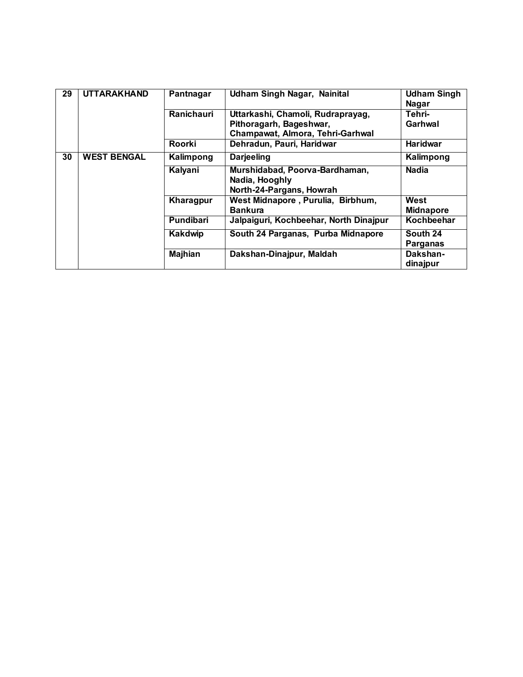| 29 | <b>UTTARAKHAND</b> | Pantnagar         | <b>Udham Singh Nagar, Nainital</b>               | <b>Udham Singh</b><br><b>Nagar</b> |
|----|--------------------|-------------------|--------------------------------------------------|------------------------------------|
|    |                    | <b>Ranichauri</b> | Uttarkashi, Chamoli, Rudraprayag,                | Tehri-                             |
|    |                    |                   | Pithoragarh, Bageshwar,                          | Garhwal                            |
|    |                    |                   | Champawat, Almora, Tehri-Garhwal                 |                                    |
|    |                    | Roorki            | Dehradun, Pauri, Haridwar                        | <b>Haridwar</b>                    |
| 30 | <b>WEST BENGAL</b> | Kalimpong         | <b>Darjeeling</b>                                | Kalimpong                          |
|    |                    | Kalyani           | Murshidabad, Poorva-Bardhaman,<br>Nadia, Hooghly | <b>Nadia</b>                       |
|    |                    |                   | North-24-Pargans, Howrah                         |                                    |
|    |                    | Kharagpur         | West Midnapore, Purulia, Birbhum,                | West                               |
|    |                    |                   | <b>Bankura</b>                                   | <b>Midnapore</b>                   |
|    |                    | Pundibari         | Jalpaiguri, Kochbeehar, North Dinajpur           | Kochbeehar                         |
|    |                    | Kakdwip           | South 24 Parganas, Purba Midnapore               | South 24                           |
|    |                    |                   |                                                  | Parganas                           |
|    |                    | <b>Majhian</b>    | Dakshan-Dinajpur, Maldah                         | Dakshan-<br>dinajpur               |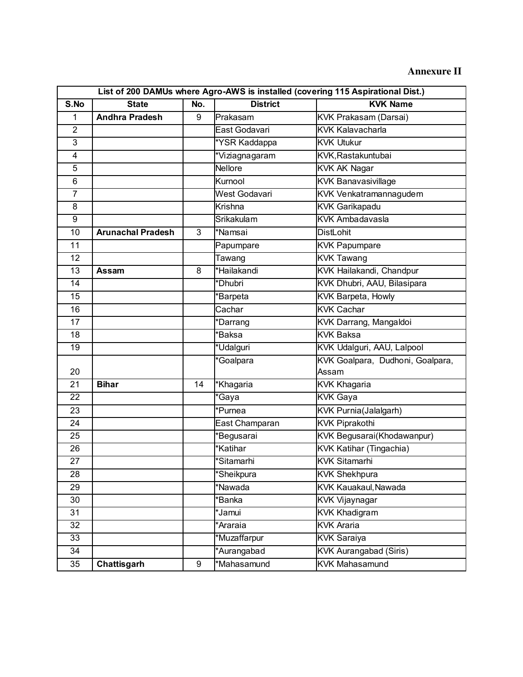|                         | List of 200 DAMUs where Agro-AWS is installed (covering 115 Aspirational Dist.) |     |                 |                                  |  |
|-------------------------|---------------------------------------------------------------------------------|-----|-----------------|----------------------------------|--|
| S.No                    | <b>State</b>                                                                    | No. | <b>District</b> | <b>KVK Name</b>                  |  |
| $\mathbf{1}$            | <b>Andhra Pradesh</b>                                                           | 9   | Prakasam        | KVK Prakasam (Darsai)            |  |
| $\overline{2}$          |                                                                                 |     | East Godavari   | <b>KVK Kalavacharla</b>          |  |
| 3                       |                                                                                 |     | *YSR Kaddappa   | <b>KVK Utukur</b>                |  |
| $\overline{\mathbf{4}}$ |                                                                                 |     | *Viziagnagaram  | KVK, Rastakuntubai               |  |
| 5                       |                                                                                 |     | <b>Nellore</b>  | <b>KVK AK Nagar</b>              |  |
| 6                       |                                                                                 |     | Kurnool         | <b>KVK Banavasivillage</b>       |  |
| $\overline{7}$          |                                                                                 |     | West Godavari   | KVK Venkatramannagudem           |  |
| 8                       |                                                                                 |     | <b>Krishna</b>  | <b>KVK Garikapadu</b>            |  |
| $\overline{9}$          |                                                                                 |     | Srikakulam      | <b>KVK Ambadavasla</b>           |  |
| 10                      | <b>Arunachal Pradesh</b>                                                        | 3   | *Namsai         | <b>DistLohit</b>                 |  |
| 11                      |                                                                                 |     | Papumpare       | <b>KVK Papumpare</b>             |  |
| 12                      |                                                                                 |     | Tawang          | <b>KVK Tawang</b>                |  |
| 13                      | Assam                                                                           | 8   | *Hailakandi     | KVK Hailakandi, Chandpur         |  |
| 14                      |                                                                                 |     | *Dhubri         | KVK Dhubri, AAU, Bilasipara      |  |
| $\overline{15}$         |                                                                                 |     | *Barpeta        | <b>KVK Barpeta, Howly</b>        |  |
| 16                      |                                                                                 |     | Cachar          | <b>KVK Cachar</b>                |  |
| 17                      |                                                                                 |     | *Darrang        | KVK Darrang, Mangaldoi           |  |
| 18                      |                                                                                 |     | *Baksa          | <b>KVK Baksa</b>                 |  |
| 19                      |                                                                                 |     | *Udalguri       | KVK Udalguri, AAU, Lalpool       |  |
|                         |                                                                                 |     | *Goalpara       | KVK Goalpara, Dudhoni, Goalpara, |  |
| 20                      |                                                                                 |     |                 | Assam                            |  |
| 21                      | <b>Bihar</b>                                                                    | 14  | *Khagaria       | <b>KVK Khagaria</b>              |  |
| 22                      |                                                                                 |     | *Gaya           | <b>KVK Gaya</b>                  |  |
| 23                      |                                                                                 |     | *Purnea         | <b>KVK Purnia(Jalalgarh)</b>     |  |
| 24                      |                                                                                 |     | East Champaran  | <b>KVK Piprakothi</b>            |  |
| 25                      |                                                                                 |     | *Begusarai      | KVK Begusarai(Khodawanpur)       |  |
| 26                      |                                                                                 |     | *Katihar        | KVK Katihar (Tingachia)          |  |
| 27                      |                                                                                 |     | *Sitamarhi      | <b>KVK Sitamarhi</b>             |  |
| 28                      |                                                                                 |     | *Sheikpura      | <b>KVK Shekhpura</b>             |  |
| 29                      |                                                                                 |     | *Nawada         | <b>KVK Kauakaul, Nawada</b>      |  |
| 30                      |                                                                                 |     | <b>Banka</b>    | <b>KVK Vijaynagar</b>            |  |
| 31                      |                                                                                 |     | *Jamui          | <b>KVK Khadigram</b>             |  |
| 32                      |                                                                                 |     | *Araraia        | <b>KVK Araria</b>                |  |
| 33                      |                                                                                 |     | *Muzaffarpur    | <b>KVK Saraiya</b>               |  |
| 34                      |                                                                                 |     | *Aurangabad     | <b>KVK Aurangabad (Siris)</b>    |  |
| 35                      | Chattisgarh                                                                     | 9   | *Mahasamund     | <b>KVK Mahasamund</b>            |  |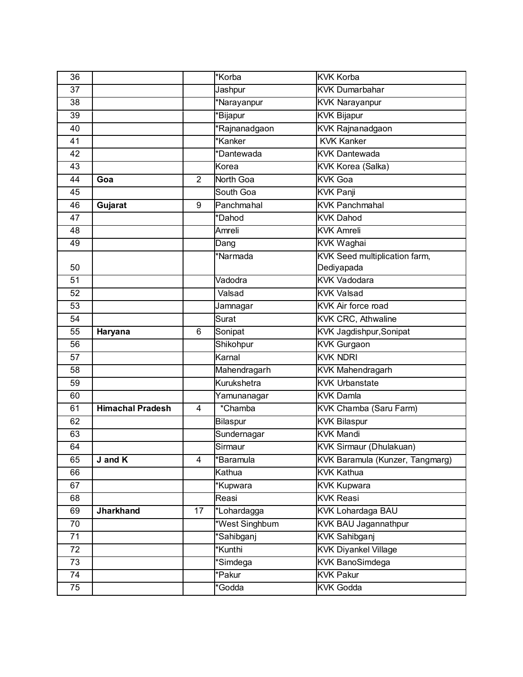| 36              |                         |                | *Korba         | <b>KVK Korba</b>                     |
|-----------------|-------------------------|----------------|----------------|--------------------------------------|
| $\overline{37}$ |                         |                | Jashpur        | <b>KVK Dumarbahar</b>                |
| 38              |                         |                | *Narayanpur    | <b>KVK Narayanpur</b>                |
| 39              |                         |                | *Bijapur       | <b>KVK Bijapur</b>                   |
| 40              |                         |                | *Rajnanadgaon  | <b>KVK Rajnanadgaon</b>              |
| 41              |                         |                | *Kanker        | <b>KVK Kanker</b>                    |
| 42              |                         |                | *Dantewada     | <b>KVK Dantewada</b>                 |
| 43              |                         |                | Korea          | KVK Korea (Salka)                    |
| 44              | Goa                     | $\overline{2}$ | North Goa      | <b>KVK Goa</b>                       |
| 45              |                         |                | South Goa      | <b>KVK Panji</b>                     |
| 46              | Gujarat                 | 9              | Panchmahal     | <b>KVK Panchmahal</b>                |
| 47              |                         |                | *Dahod         | <b>KVK Dahod</b>                     |
| 48              |                         |                | Amreli         | <b>KVK Amreli</b>                    |
| 49              |                         |                | Dang           | <b>KVK Waghai</b>                    |
|                 |                         |                | *Narmada       | <b>KVK Seed multiplication farm,</b> |
| 50              |                         |                |                | Dediyapada                           |
| $\overline{51}$ |                         |                | Vadodra        | <b>KVK Vadodara</b>                  |
| 52              |                         |                | Valsad         | <b>KVK Valsad</b>                    |
| 53              |                         |                | Jamnagar       | KVK Air force road                   |
| 54              |                         |                | Surat          | <b>KVK CRC</b> , Athwaline           |
| 55              | Haryana                 | 6              | Sonipat        | <b>KVK Jagdishpur, Sonipat</b>       |
| 56              |                         |                | Shikohpur      | <b>KVK Gurgaon</b>                   |
| 57              |                         |                | Karnal         | <b>KVK NDRI</b>                      |
| 58              |                         |                | Mahendragarh   | KVK Mahendragarh                     |
| 59              |                         |                | Kurukshetra    | <b>KVK Urbanstate</b>                |
| 60              |                         |                | Yamunanagar    | <b>KVK Damla</b>                     |
| 61              | <b>Himachal Pradesh</b> | $\overline{4}$ | *Chamba        | <b>KVK Chamba (Saru Farm)</b>        |
| 62              |                         |                | Bilaspur       | <b>KVK Bilaspur</b>                  |
| 63              |                         |                | Sundernagar    | <b>KVK Mandi</b>                     |
| 64              |                         |                | Sirmaur        | <b>KVK Sirmaur (Dhulakuan)</b>       |
| 65              | J and K                 | 4              | *Baramula      | KVK Baramula (Kunzer, Tangmarg)      |
| 66              |                         |                | Kathua         | <b>KVK Kathua</b>                    |
| 67              |                         |                | *Kupwara       | <b>KVK Kupwara</b>                   |
| 68              |                         |                | Reasi          | <b>KVK Reasi</b>                     |
| 69              | <b>Jharkhand</b>        | 17             | *Lohardagga    | <b>KVK Lohardaga BAU</b>             |
| 70              |                         |                | *West Singhbum | KVK BAU Jagannathpur                 |
| $\overline{71}$ |                         |                | *Sahibganj     | <b>KVK Sahibganj</b>                 |
| 72              |                         |                | *Kunthi        | <b>KVK Diyankel Village</b>          |
| 73              |                         |                | *Simdega       | <b>KVK BanoSimdega</b>               |
| 74              |                         |                | *Pakur         | <b>KVK Pakur</b>                     |
| 75              |                         |                | *Godda         | <b>KVK Godda</b>                     |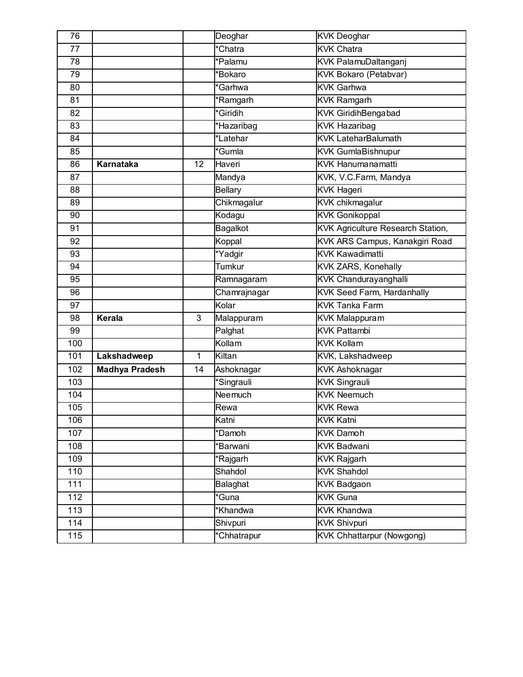| 76  |                       |    | Deoghar                        | <b>KVK Deoghar</b>                       |
|-----|-----------------------|----|--------------------------------|------------------------------------------|
| 77  |                       |    | *Chatra                        | <b>KVK Chatra</b>                        |
| 78  |                       |    | *Palamu                        | <b>KVK PalamuDaltanganj</b>              |
| 79  |                       |    | *Bokaro                        | <b>KVK Bokaro (Petabvar)</b>             |
| 80  |                       |    | *Garhwa                        | <b>KVK Garhwa</b>                        |
| 81  |                       |    | $\overline{\mathsf{R}}$ amgarh | <b>KVK Ramgarh</b>                       |
| 82  |                       |    | *Giridih                       | <b>KVK GiridihBengabad</b>               |
| 83  |                       |    | *Hazaribag                     | <b>KVK Hazaribag</b>                     |
| 84  |                       |    | *Latehar                       | <b>KVK LateharBalumath</b>               |
| 85  |                       |    | *Gumla                         | <b>KVK GumlaBishnupur</b>                |
| 86  | Karnataka             | 12 | Haveri                         | <b>KVK Hanumanamatti</b>                 |
| 87  |                       |    | Mandya                         | KVK, V.C.Farm, Mandya                    |
| 88  |                       |    | <b>Bellary</b>                 | <b>KVK Hageri</b>                        |
| 89  |                       |    | Chikmagalur                    | <b>KVK</b> chikmagalur                   |
| 90  |                       |    | Kodagu                         | <b>KVK Gonikoppal</b>                    |
| 91  |                       |    | Bagalkot                       | <b>KVK Agriculture Research Station,</b> |
| 92  |                       |    | Koppal                         | KVK ARS Campus, Kanakgiri Road           |
| 93  |                       |    | *Yadgir                        | <b>KVK Kawadimatti</b>                   |
| 94  |                       |    | Tumkur                         | KVK ZARS, Konehally                      |
| 95  |                       |    | Ramnagaram                     | <b>KVK Chandurayanghalli</b>             |
| 96  |                       |    | Chamrajnagar                   | <b>KVK Seed Farm, Hardanhally</b>        |
| 97  |                       |    | Kolar                          | <b>KVK Tanka Farm</b>                    |
| 98  | Kerala                | 3  | Malappuram                     | <b>KVK Malappuram</b>                    |
| 99  |                       |    | Palghat                        | <b>KVK Pattambi</b>                      |
| 100 |                       |    | Kollam                         | <b>KVK Kollam</b>                        |
| 101 | Lakshadweep           | 1  | Kiltan                         | KVK, Lakshadweep                         |
| 102 | <b>Madhya Pradesh</b> | 14 | Ashoknagar                     | <b>KVK Ashoknagar</b>                    |
| 103 |                       |    | *Singrauli                     | <b>KVK Singrauli</b>                     |
| 104 |                       |    | Neemuch                        | <b>KVK Neemuch</b>                       |
| 105 |                       |    | Rewa                           | <b>KVK Rewa</b>                          |
| 106 |                       |    | Katni                          | <b>KVK Katni</b>                         |
| 107 |                       |    | *Damoh                         | <b>KVK Damoh</b>                         |
| 108 |                       |    | *Barwani                       | <b>KVK Badwani</b>                       |
| 109 |                       |    | *Rajgarh                       | <b>KVK Rajgarh</b>                       |
| 110 |                       |    | Shahdol                        | <b>KVK Shahdol</b>                       |
| 111 |                       |    | Balaghat                       | <b>KVK Badgaon</b>                       |
| 112 |                       |    | *Guna                          | <b>KVK Guna</b>                          |
| 113 |                       |    | *Khandwa                       | <b>KVK Khandwa</b>                       |
| 114 |                       |    | Shivpuri                       | <b>KVK Shivpuri</b>                      |
| 115 |                       |    | *Chhatrapur                    | <b>KVK Chhattarpur (Nowgong)</b>         |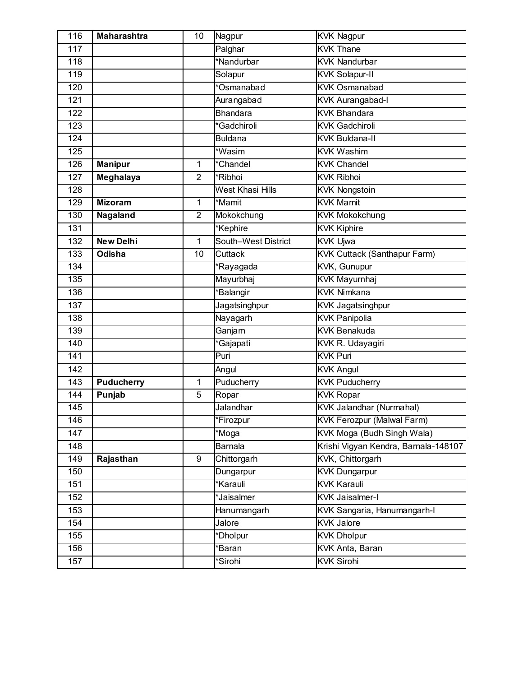| 116              | <b>Maharashtra</b> | 10             | Nagpur              | <b>KVK Nagpur</b>                    |
|------------------|--------------------|----------------|---------------------|--------------------------------------|
| 117              |                    |                | Palghar             | <b>KVK Thane</b>                     |
| 118              |                    |                | *Nandurbar          | <b>KVK Nandurbar</b>                 |
| 119              |                    |                | Solapur             | <b>KVK Solapur-II</b>                |
| 120              |                    |                | *Osmanabad          | <b>KVK Osmanabad</b>                 |
| 121              |                    |                | Aurangabad          | <b>KVK Aurangabad-I</b>              |
| 122              |                    |                | <b>Bhandara</b>     | <b>KVK Bhandara</b>                  |
| 123              |                    |                | *Gadchiroli         | <b>KVK Gadchiroli</b>                |
| 124              |                    |                | <b>Buldana</b>      | <b>KVK Buldana-II</b>                |
| 125              |                    |                | *Wasim              | <b>KVK Washim</b>                    |
| 126              | <b>Manipur</b>     | 1              | *Chandel            | <b>KVK Chandel</b>                   |
| 127              | Meghalaya          | $\overline{2}$ | *Ribhoi             | <b>KVK Ribhoi</b>                    |
| 128              |                    |                | West Khasi Hills    | <b>KVK Nongstoin</b>                 |
| 129              | <b>Mizoram</b>     | 1              | *Mamit              | <b>KVK</b> Mamit                     |
| 130              | Nagaland           | $\overline{2}$ | Mokokchung          | <b>KVK Mokokchung</b>                |
| $\overline{131}$ |                    |                | *Kephire            | <b>KVK Kiphire</b>                   |
| 132              | New Delhi          | 1              | South-West District | <b>KVK Ujwa</b>                      |
| 133              | <b>Odisha</b>      | 10             | Cuttack             | <b>KVK Cuttack (Santhapur Farm)</b>  |
| 134              |                    |                | *Rayagada           | KVK, Gunupur                         |
| 135              |                    |                | Mayurbhaj           | <b>KVK Mayurnhaj</b>                 |
| 136              |                    |                | *Balangir           | <b>KVK Nimkana</b>                   |
| 137              |                    |                | Jagatsinghpur       | <b>KVK Jagatsinghpur</b>             |
| 138              |                    |                | Nayagarh            | <b>KVK Panipolia</b>                 |
| 139              |                    |                | Ganjam              | <b>KVK Benakuda</b>                  |
| 140              |                    |                | *Gajapati           | KVK R. Udayagiri                     |
| 141              |                    |                | Puri                | <b>KVK Puri</b>                      |
| 142              |                    |                | Angul               | <b>KVK Angul</b>                     |
| 143              | <b>Puducherry</b>  | 1              | Puducherry          | <b>KVK Puducherry</b>                |
| 144              | Punjab             | 5              | Ropar               | <b>KVK Ropar</b>                     |
| 145              |                    |                | <b>Jalandhar</b>    | <b>KVK Jalandhar (Nurmahal)</b>      |
| 146              |                    |                | *Firozpur           | <b>KVK Ferozpur (Malwal Farm)</b>    |
| 147              |                    |                | *Moga               | KVK Moga (Budh Singh Wala)           |
| 148              |                    |                | Barnala             | Krishi Vigyan Kendra, Barnala-148107 |
| 149              | Rajasthan          | 9              | Chittorgarh         | KVK, Chittorgarh                     |
| 150              |                    |                | Dungarpur           | <b>KVK Dungarpur</b>                 |
| 151              |                    |                | *Karauli            | <b>KVK Karauli</b>                   |
| 152              |                    |                | *Jaisalmer          | <b>KVK Jaisalmer-I</b>               |
| 153              |                    |                | Hanumangarh         | KVK Sangaria, Hanumangarh-I          |
| 154              |                    |                | Jalore              | <b>KVK Jalore</b>                    |
| 155              |                    |                | *Dholpur            | <b>KVK Dholpur</b>                   |
| 156              |                    |                | *Baran              | KVK Anta, Baran                      |
| 157              |                    |                | *Sirohi             | <b>KVK Sirohi</b>                    |